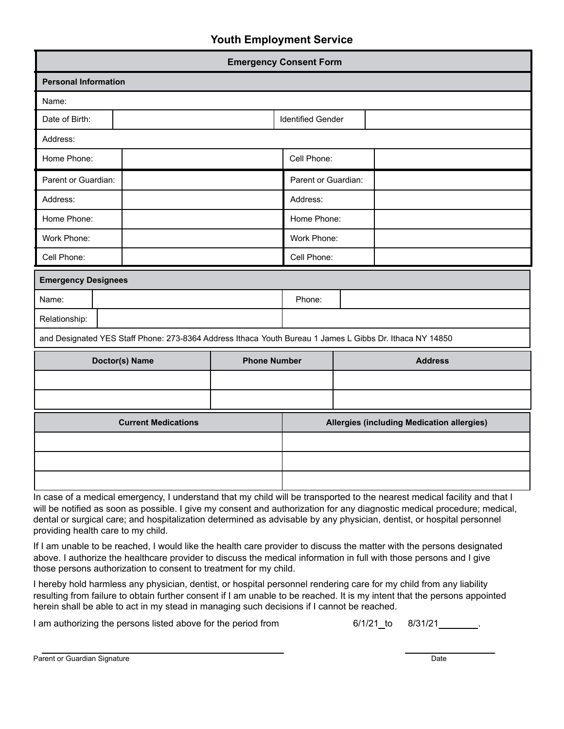## **Youth Employment Service**

| <b>Emergency Consent Form</b>                                                                            |  |                                            |                          |  |
|----------------------------------------------------------------------------------------------------------|--|--------------------------------------------|--------------------------|--|
| <b>Personal Information</b>                                                                              |  |                                            |                          |  |
| Name:                                                                                                    |  |                                            |                          |  |
| Date of Birth:                                                                                           |  |                                            | <b>Identified Gender</b> |  |
| Address:                                                                                                 |  |                                            |                          |  |
| Home Phone:                                                                                              |  | Cell Phone:                                |                          |  |
| Parent or Guardian:                                                                                      |  | Parent or Guardian:                        |                          |  |
| Address:                                                                                                 |  | Address:                                   |                          |  |
| Home Phone:                                                                                              |  | Home Phone:                                |                          |  |
| Work Phone:                                                                                              |  | Work Phone:                                |                          |  |
| Cell Phone:                                                                                              |  | Cell Phone:                                |                          |  |
| <b>Emergency Designees</b>                                                                               |  |                                            |                          |  |
| Name:                                                                                                    |  | Phone:                                     |                          |  |
| Relationship:                                                                                            |  |                                            |                          |  |
| and Designated YES Staff Phone: 273-8364 Address Ithaca Youth Bureau 1 James L Gibbs Dr. Ithaca NY 14850 |  |                                            |                          |  |
| <b>Phone Number</b><br>Doctor(s) Name                                                                    |  |                                            | <b>Address</b>           |  |
|                                                                                                          |  |                                            |                          |  |
|                                                                                                          |  |                                            |                          |  |
| <b>Current Medications</b>                                                                               |  | Allergies (including Medication allergies) |                          |  |
|                                                                                                          |  |                                            |                          |  |
|                                                                                                          |  |                                            |                          |  |
|                                                                                                          |  |                                            |                          |  |

In case of a medical emergency, I understand that my child will be transported to the nearest medical facility and that I will be notified as soon as possible. I give my consent and authorization for any diagnostic medical procedure; medical, dental or surgical care; and hospitalization determined as advisable by any physician, dentist, or hospital personnel providing health care to my child.

If I am unable to be reached, I would like the health care provider to discuss the matter with the persons designated above. I authorize the healthcare provider to discuss the medical information in full with those persons and I give those persons authorization to consent to treatment for my child.

I hereby hold harmless any physician, dentist, or hospital personnel rendering care for my child from any liability resulting from failure to obtain further consent if I am unable to be reached. It is my intent that the persons appointed herein shall be able to act in my stead in managing such decisions if I cannot be reached.

I am authorizing the persons listed above for the period from  $6/1/21$  to  $8/31/21$  .

Parent or Guardian Signature **Date of Contract of Contract of Contract of Contract of Contract of Contract of Contract of Contract of Contract of Contract of Contract of Contract of Contract of Contract of Contract of Cont**